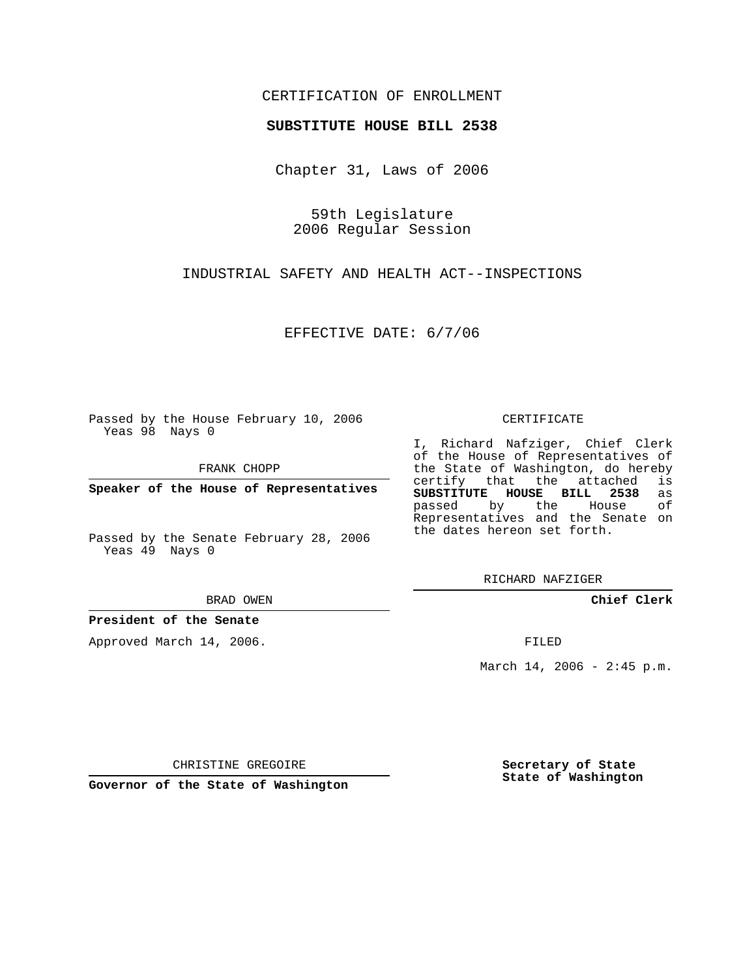## CERTIFICATION OF ENROLLMENT

## **SUBSTITUTE HOUSE BILL 2538**

Chapter 31, Laws of 2006

59th Legislature 2006 Regular Session

INDUSTRIAL SAFETY AND HEALTH ACT--INSPECTIONS

EFFECTIVE DATE: 6/7/06

Passed by the House February 10, 2006 Yeas 98 Nays 0

FRANK CHOPP

**Speaker of the House of Representatives**

Passed by the Senate February 28, 2006 Yeas 49 Nays 0

BRAD OWEN

**President of the Senate**

Approved March 14, 2006.

CERTIFICATE

I, Richard Nafziger, Chief Clerk of the House of Representatives of the State of Washington, do hereby<br>certify that the attached is certify that the attached **SUBSTITUTE HOUSE BILL 2538** as passed by the House of Representatives and the Senate on the dates hereon set forth.

RICHARD NAFZIGER

**Chief Clerk**

FILED

March 14, 2006 -  $2:45$  p.m.

CHRISTINE GREGOIRE

**Governor of the State of Washington**

**Secretary of State State of Washington**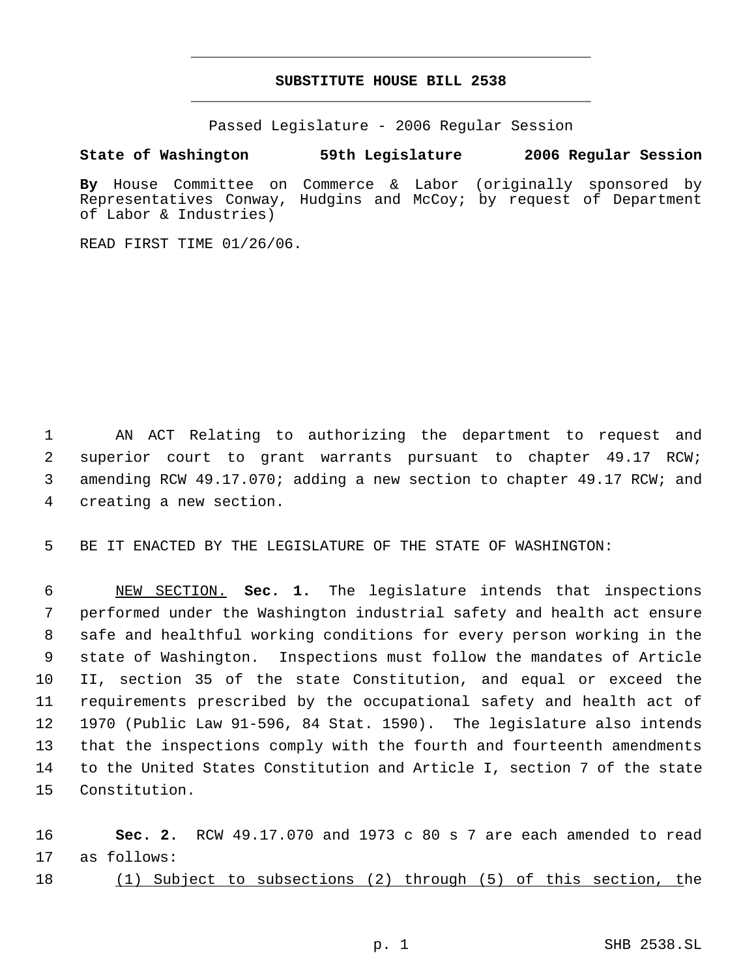## **SUBSTITUTE HOUSE BILL 2538** \_\_\_\_\_\_\_\_\_\_\_\_\_\_\_\_\_\_\_\_\_\_\_\_\_\_\_\_\_\_\_\_\_\_\_\_\_\_\_\_\_\_\_\_\_

\_\_\_\_\_\_\_\_\_\_\_\_\_\_\_\_\_\_\_\_\_\_\_\_\_\_\_\_\_\_\_\_\_\_\_\_\_\_\_\_\_\_\_\_\_

Passed Legislature - 2006 Regular Session

## **State of Washington 59th Legislature 2006 Regular Session**

**By** House Committee on Commerce & Labor (originally sponsored by Representatives Conway, Hudgins and McCoy; by request of Department of Labor & Industries)

READ FIRST TIME 01/26/06.

 AN ACT Relating to authorizing the department to request and superior court to grant warrants pursuant to chapter 49.17 RCW; amending RCW 49.17.070; adding a new section to chapter 49.17 RCW; and creating a new section.

BE IT ENACTED BY THE LEGISLATURE OF THE STATE OF WASHINGTON:

 NEW SECTION. **Sec. 1.** The legislature intends that inspections performed under the Washington industrial safety and health act ensure safe and healthful working conditions for every person working in the state of Washington. Inspections must follow the mandates of Article II, section 35 of the state Constitution, and equal or exceed the requirements prescribed by the occupational safety and health act of 1970 (Public Law 91-596, 84 Stat. 1590). The legislature also intends that the inspections comply with the fourth and fourteenth amendments to the United States Constitution and Article I, section 7 of the state Constitution.

 **Sec. 2.** RCW 49.17.070 and 1973 c 80 s 7 are each amended to read as follows:

(1) Subject to subsections (2) through (5) of this section, the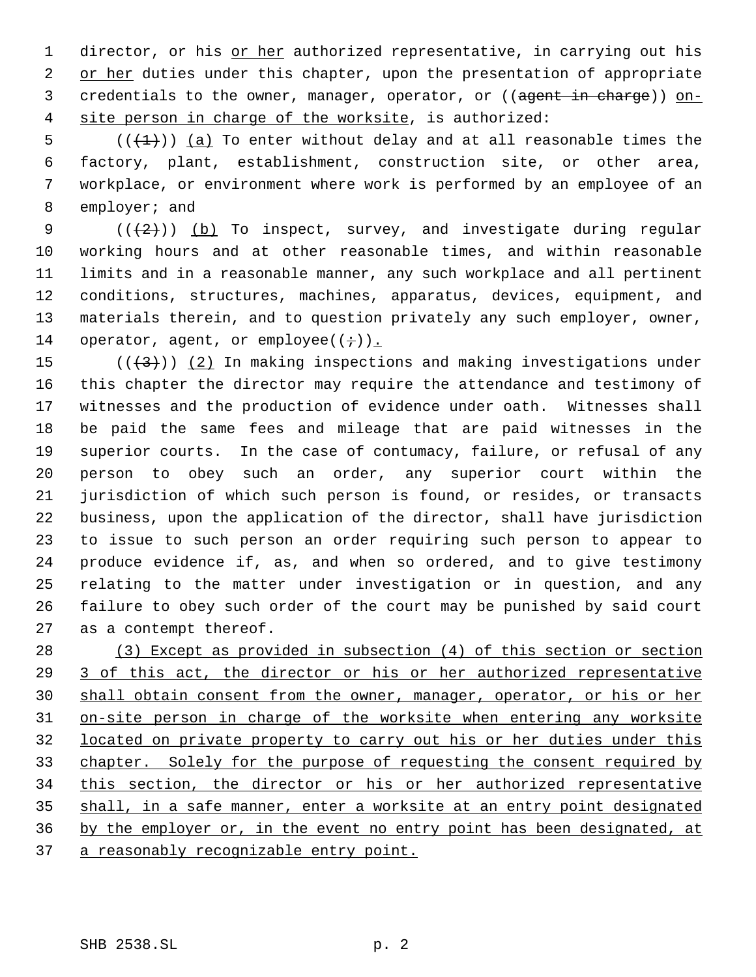1 director, or his or her authorized representative, in carrying out his 2 or her duties under this chapter, upon the presentation of appropriate credentials to the owner, manager, operator, or ((agent in charge)) on- site person in charge of the worksite, is authorized:

 $((+1))$  (a) To enter without delay and at all reasonable times the factory, plant, establishment, construction site, or other area, workplace, or environment where work is performed by an employee of an employer; and

 $((+2))$  (b) To inspect, survey, and investigate during regular working hours and at other reasonable times, and within reasonable limits and in a reasonable manner, any such workplace and all pertinent conditions, structures, machines, apparatus, devices, equipment, and materials therein, and to question privately any such employer, owner, 14 operator, agent, or employee( $(i+)$ ).

 $((+3))$   $(2)$  In making inspections and making investigations under this chapter the director may require the attendance and testimony of witnesses and the production of evidence under oath. Witnesses shall be paid the same fees and mileage that are paid witnesses in the superior courts. In the case of contumacy, failure, or refusal of any person to obey such an order, any superior court within the jurisdiction of which such person is found, or resides, or transacts business, upon the application of the director, shall have jurisdiction to issue to such person an order requiring such person to appear to produce evidence if, as, and when so ordered, and to give testimony relating to the matter under investigation or in question, and any failure to obey such order of the court may be punished by said court as a contempt thereof.

 (3) Except as provided in subsection (4) of this section or section 3 of this act, the director or his or her authorized representative shall obtain consent from the owner, manager, operator, or his or her on-site person in charge of the worksite when entering any worksite located on private property to carry out his or her duties under this chapter. Solely for the purpose of requesting the consent required by this section, the director or his or her authorized representative shall, in a safe manner, enter a worksite at an entry point designated by the employer or, in the event no entry point has been designated, at a reasonably recognizable entry point.